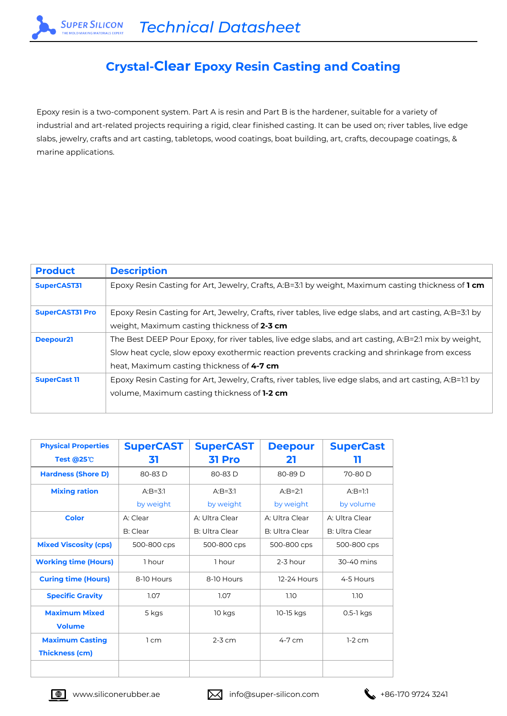# **Crystal-Clear Epoxy Resin Casting and Coating**

Epoxy resin is a two-component system. Part A is resin and Part B is the hardener, suitable for a variety of industrial and art-related projects requiring a rigid, clear finished casting. It can be used on; river tables, live edge slabs, jewelry, crafts and art casting, tabletops, wood coatings, boat building, art, crafts, decoupage coatings, & marine applications.

| <b>Product</b>         | <b>Description</b>                                                                                        |
|------------------------|-----------------------------------------------------------------------------------------------------------|
| SuperCAST31            | Epoxy Resin Casting for Art, Jewelry, Crafts, A:B=3:1 by weight, Maximum casting thickness of <b>1 cm</b> |
|                        |                                                                                                           |
| <b>SuperCAST31 Pro</b> | Epoxy Resin Casting for Art, Jewelry, Crafts, river tables, live edge slabs, and art casting, A:B=3:1 by  |
|                        | weight, Maximum casting thickness of 2-3 cm                                                               |
| Deepour21              | The Best DEEP Pour Epoxy, for river tables, live edge slabs, and art casting, A:B=2:1 mix by weight,      |
|                        | Slow heat cycle, slow epoxy exothermic reaction prevents cracking and shrinkage from excess               |
|                        | heat, Maximum casting thickness of 4-7 cm                                                                 |
| <b>SuperCast 11</b>    | Epoxy Resin Casting for Art, Jewelry, Crafts, river tables, live edge slabs, and art casting, A:B=1:1 by  |
|                        | volume, Maximum casting thickness of <b>1-2 cm</b>                                                        |
|                        |                                                                                                           |

| <b>Physical Properties</b>   | <b>SuperCAST</b> | <b>SuperCAST</b> | <b>Deepour</b> | <b>SuperCast</b> |
|------------------------------|------------------|------------------|----------------|------------------|
| Test @25℃                    | 31               | 31 Pro           | 21             | 11               |
| <b>Hardness (Shore D)</b>    | 80-83D           | 80-83D           | 80-89 D        | 70-80 D          |
| <b>Mixing ration</b>         | $A:B=3:1$        | $A:B=3:1$        | $A:B=2:1$      | $A:B=1:1$        |
|                              | by weight        | by weight        | by weight      | by volume        |
| <b>Color</b>                 | A: Clear         | A: Ultra Clear   | A: Ultra Clear | A: Ultra Clear   |
|                              | B: Clear         | B: Ultra Clear   | B: Ultra Clear | B: Ultra Clear   |
| <b>Mixed Viscosity (cps)</b> | 500-800 cps      | 500-800 cps      | 500-800 cps    | 500-800 cps      |
| <b>Working time (Hours)</b>  | 1 hour           | 1 hour           | 2-3 hour       | 30-40 mins       |
| <b>Curing time (Hours)</b>   | 8-10 Hours       | 8-10 Hours       | 12-24 Hours    | 4-5 Hours        |
| <b>Specific Gravity</b>      | 1.07             | 1.07             | 1.10           | 1.10             |
| <b>Maximum Mixed</b>         | 5 kgs            | 10 kgs           | 10-15 kgs      | $0.5-1$ kgs      |
| <b>Volume</b>                |                  |                  |                |                  |
| <b>Maximum Casting</b>       | $1 \text{ cm}$   | $2-3$ cm         | 4-7 cm         | $1-2$ cm         |
| <b>Thickness (cm)</b>        |                  |                  |                |                  |
|                              |                  |                  |                |                  |



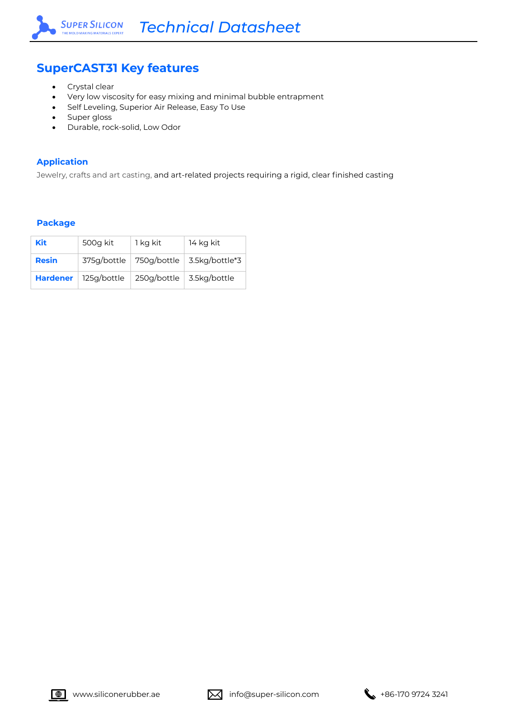

### **SuperCAST31 Key features**

- Crystal clear
- Very low viscosity for easy mixing and minimal bubble entrapment
- Self Leveling, Superior Air Release, Easy To Use
- Super gloss
- Durable, rock-solid, Low Odor

#### **Application**

Jewelry, crafts and art casting, and art-related projects requiring a rigid, clear finished casting

#### **Package**

| Kit             | 500g kit    | 1 kg kit                 | 14 kg kit                                  |
|-----------------|-------------|--------------------------|--------------------------------------------|
| <b>Resin</b>    |             |                          | 375g/bottle   750g/bottle   3.5kg/bottle*3 |
| <b>Hardener</b> | 125g/bottle | 250g/bottle 3.5kg/bottle |                                            |





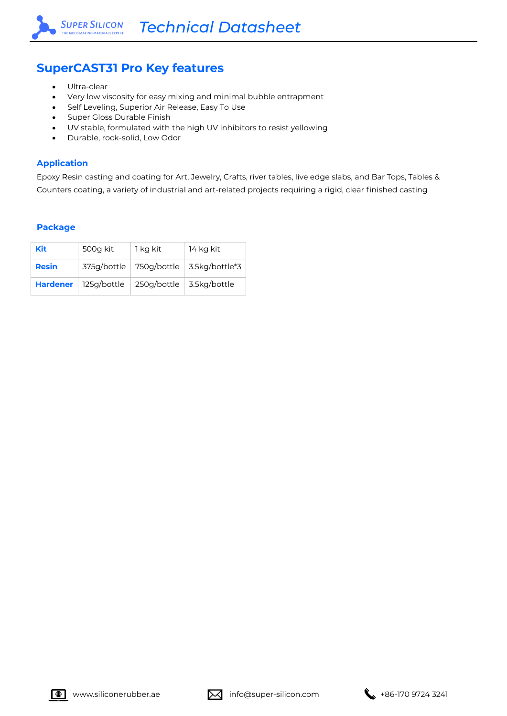### **SuperCAST31 Pro Key features**

- Ultra-clear
- Very low viscosity for easy mixing and minimal bubble entrapment
- Self Leveling, Superior Air Release, Easy To Use
- Super Gloss Durable Finish
- UV stable, formulated with the high UV inhibitors to resist yellowing
- Durable, rock-solid, Low Odor

#### **Application**

Epoxy Resin casting and coating for Art, Jewelry, Crafts, river tables, live edge slabs, and Bar Tops, Tables & Counters coating, a variety of industrial and art-related projects requiring a rigid, clear finished casting

#### **Package**

| <b>Kit</b>   | 500g kit               | 1 kg kit                 | 14 kg kit                                  |
|--------------|------------------------|--------------------------|--------------------------------------------|
| <b>Resin</b> |                        |                          | 375g/bottle   750g/bottle   3.5kg/bottle*3 |
|              | Hardener   125g/bottle | 250g/bottle 3.5kg/bottle |                                            |





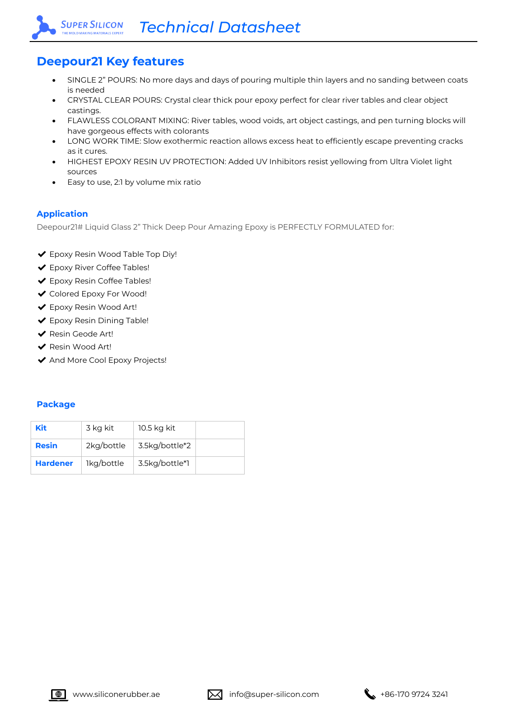## **Deepour21 Key features**

**SUPER SILICON G MATERIALS EX** 

- SINGLE 2" POURS: No more days and days of pouring multiple thin layers and no sanding between coats is needed
- CRYSTAL CLEAR POURS: Crystal clear thick pour epoxy perfect for clear river tables and clear object castings.
- FLAWLESS COLORANT MIXING: River tables, wood voids, art object castings, and pen turning blocks will have gorgeous effects with colorants
- LONG WORK TIME: Slow exothermic reaction allows excess heat to efficiently escape preventing cracks as it cures.
- HIGHEST EPOXY RESIN UV PROTECTION: Added UV Inhibitors resist yellowing from Ultra Violet light sources
- Easy to use, 2:1 by volume mix ratio

#### **Application**

Deepour21# Liquid Glass 2" Thick Deep Pour Amazing Epoxy is PERFECTLY FORMULATED for:

- ◆ Epoxy Resin Wood Table Top Diy!
- ◆ Epoxy River Coffee Tables!
- ◆ Epoxy Resin Coffee Tables!
- ✔ Colored Epoxy For Wood!
- ◆ Epoxy Resin Wood Art!
- ◆ Epoxy Resin Dining Table!
- ✔ Resin Geode Art!
- ✔ Resin Wood Art!
- ◆ And More Cool Epoxy Projects!

#### **Package**

| <b>Kit</b>      | 3 kg kit   | 10.5 kg kit    |  |
|-----------------|------------|----------------|--|
| <b>Resin</b>    | 2kg/bottle | 3.5kg/bottle*2 |  |
| <b>Hardener</b> | 1kg/bottle | 3.5kg/bottle*1 |  |

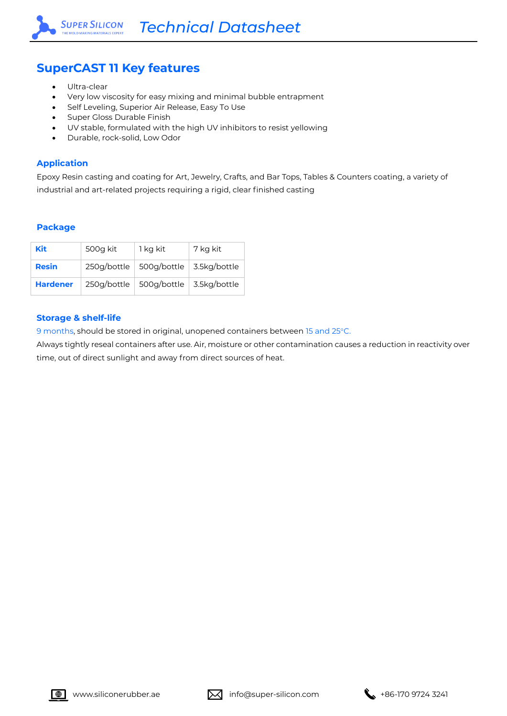### **SuperCAST 11 Key features**

- Ultra-clear
- Very low viscosity for easy mixing and minimal bubble entrapment
- Self Leveling, Superior Air Release, Easy To Use
- Super Gloss Durable Finish
- UV stable, formulated with the high UV inhibitors to resist yellowing
- Durable, rock-solid, Low Odor

#### **Application**

Epoxy Resin casting and coating for Art, Jewelry, Crafts, and Bar Tops, Tables & Counters coating, a variety of industrial and art-related projects requiring a rigid, clear finished casting

#### **Package**

| <b>Kit</b>      | 500g kit | 1 kg kit                                 | 7 kg kit |
|-----------------|----------|------------------------------------------|----------|
| <b>Resin</b>    |          | 250g/bottle 500g/bottle 3.5kg/bottle     |          |
| <b>Hardener</b> |          | 250g/bottle   500g/bottle   3.5kg/bottle |          |

#### **Storage & shelf-life**

9 months, should be stored in original, unopened containers between 15 and 25°C.

Always tightly reseal containers after use. Air, moisture or other contamination causes a reduction in reactivity over time, out of direct sunlight and away from direct sources of heat.





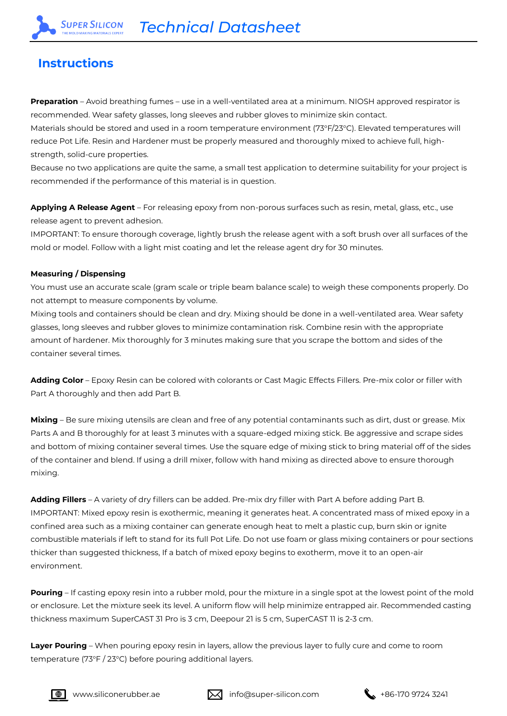## **Instructions**

**SUPER SILICON** 

**Preparation** – Avoid breathing fumes – use in a well-ventilated area at a minimum. NIOSH approved respirator is recommended. Wear safety glasses, long sleeves and rubber gloves to minimize skin contact.

Materials should be stored and used in a room temperature environment (73°F/23°C). Elevated temperatures will reduce Pot Life. Resin and Hardener must be properly measured and thoroughly mixed to achieve full, highstrength, solid-cure properties.

Because no two applications are quite the same, a small test application to determine suitability for your project is recommended if the performance of this material is in question.

**Applying A Release Agent** – For releasing epoxy from non-porous surfaces such as resin, metal, glass, etc., use release agent to prevent adhesion.

IMPORTANT: To ensure thorough coverage, lightly brush the release agent with a soft brush over all surfaces of the mold or model. Follow with a light mist coating and let the release agent dry for 30 minutes.

#### **Measuring / Dispensing**

You must use an accurate scale (gram scale or triple beam balance scale) to weigh these components properly. Do not attempt to measure components by volume.

Mixing tools and containers should be clean and dry. Mixing should be done in a well-ventilated area. Wear safety glasses, long sleeves and rubber gloves to minimize contamination risk. Combine resin with the appropriate amount of hardener. Mix thoroughly for 3 minutes making sure that you scrape the bottom and sides of the container several times.

**Adding Color** – Epoxy Resin can be colored with colorants or Cast Magic Effects Fillers. Pre-mix color or filler with Part A thoroughly and then add Part B.

**Mixing** – Be sure mixing utensils are clean and free of any potential contaminants such as dirt, dust or grease. Mix Parts A and B thoroughly for at least 3 minutes with a square-edged mixing stick. Be aggressive and scrape sides and bottom of mixing container several times. Use the square edge of mixing stick to bring material off of the sides of the container and blend. If using a drill mixer, follow with hand mixing as directed above to ensure thorough mixing.

**Adding Fillers** – A variety of dry fillers can be added. Pre-mix dry filler with Part A before adding Part B. IMPORTANT: Mixed epoxy resin is exothermic, meaning it generates heat. A concentrated mass of mixed epoxy in a confined area such as a mixing container can generate enough heat to melt a plastic cup, burn skin or ignite combustible materials if left to stand for its full Pot Life. Do not use foam or glass mixing containers or pour sections thicker than suggested thickness, If a batch of mixed epoxy begins to exotherm, move it to an open-air environment.

**Pouring** – If casting epoxy resin into a rubber mold, pour the mixture in a single spot at the lowest point of the mold or enclosure. Let the mixture seek its level. A uniform flow will help minimize entrapped air. Recommended casting thickness maximum SuperCAST 31 Pro is 3 cm, Deepour 21 is 5 cm, SuperCAST 11 is 2-3 cm.

**Layer Pouring** – When pouring epoxy resin in layers, allow the previous layer to fully cure and come to room temperature (73°F / 23°C) before pouring additional layers.